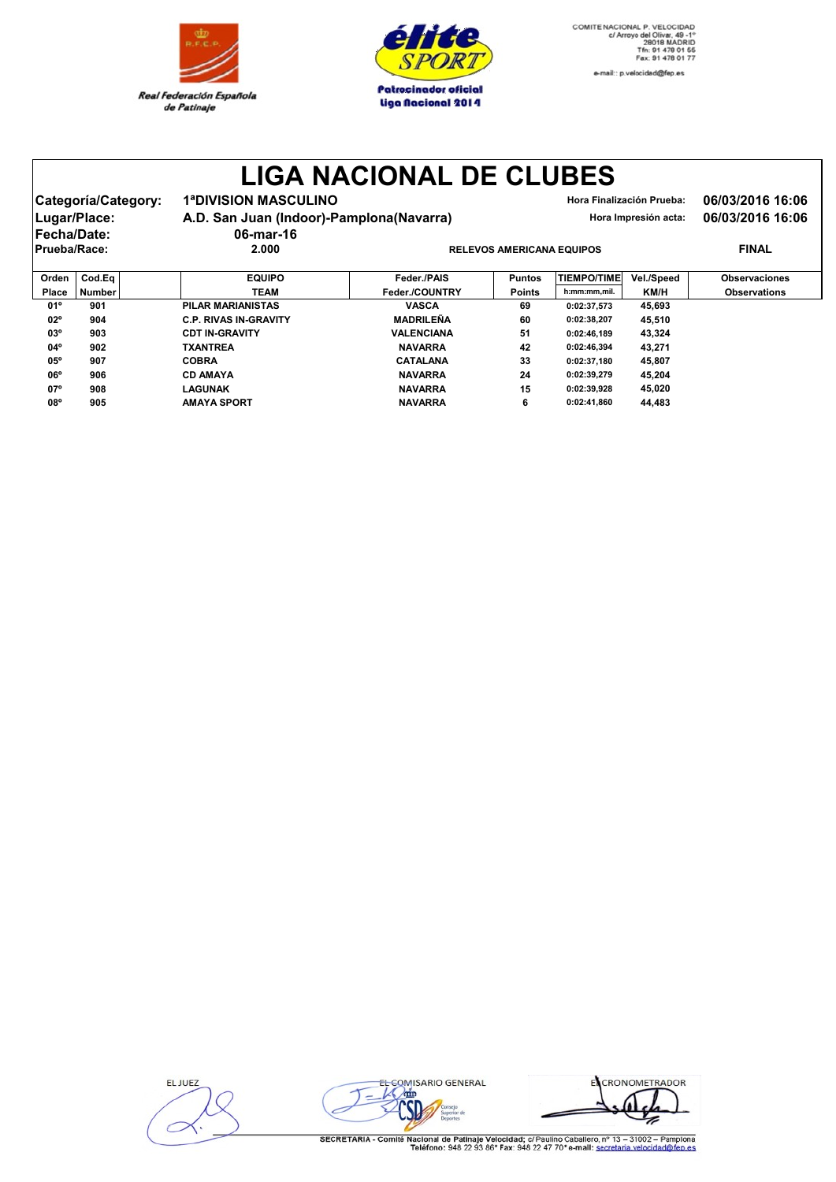

**C.P. RIVAS IN-GRAVITY** 

**CDT IN-GRAVITY** 

**TXANTREA** 

**CD AMAYA** 

**LAGUNAK** 

**AMAYA SPORT** 

**COBRA** 

 $02^{\circ}$ 

 $03^{\circ}$ 

 $04^{\circ}$ 

 $05^{\circ}$ 

 $06^{\circ}$ 

 $07^{\circ}$ 

 $08^\circ$ 

904

903

902

907

906

908

905



e-mail:: p.velocidad@fep.es

## **LIGA NACIONAL DE CLUBES**

| Lugar/Place:<br>Fecha/Date: | Categoría/Category: | <b>1ªDIVISION MASCULINO</b><br>A.D. San Juan (Indoor)-Pamplona(Navarra)<br>06-mar-16 |                                  |               | Hora Finalización Prueba:<br>Hora Impresión acta: | 06/03/2016 16:06<br>06/03/2016 16:06 |                      |  |  |
|-----------------------------|---------------------|--------------------------------------------------------------------------------------|----------------------------------|---------------|---------------------------------------------------|--------------------------------------|----------------------|--|--|
| Prueba/Race:                |                     | 2.000                                                                                | <b>RELEVOS AMERICANA EQUIPOS</b> |               |                                                   |                                      | <b>FINAL</b>         |  |  |
| Orden                       | Cod.Ea              | <b>EQUIPO</b>                                                                        | Feder./PAIS                      | <b>Puntos</b> | <b>TIEMPO/TIME</b>                                | Vel./Speed                           | <b>Observaciones</b> |  |  |
| Place                       | <b>Number</b>       | <b>TEAM</b>                                                                          | Feder./COUNTRY                   | <b>Points</b> | h:mm:mm,mil.                                      | KM/H                                 | <b>Observations</b>  |  |  |
| $01^{\circ}$                | 901                 | <b>PILAR MARIANISTAS</b>                                                             | <b>VASCA</b>                     | 69            | 0:02:37.573                                       | 45.693                               |                      |  |  |

**MADRILEÑA** 

**VALENCIANA** 

**NAVARRA** 

**CATALANA** 

**NAVARRA** 

**NAVARRA** 

**NAVARRA** 

60

51

 $42$ 

33

 ${\bf 24}$ 

 $15$ 

 $6\phantom{a}$ 

0:02:38,207

 $0:02:46,189$ 

0:02:46,394

 $0:02:37,180$ 

0:02:39,279

 $0:02:39.928$ 

 $0:02:41,860$ 

45,510

43.324

43,271 45.807

45,204

45,020

44,483

| EL JUEZ |  |
|---------|--|
|         |  |
|         |  |



EL CRONOMETRADOR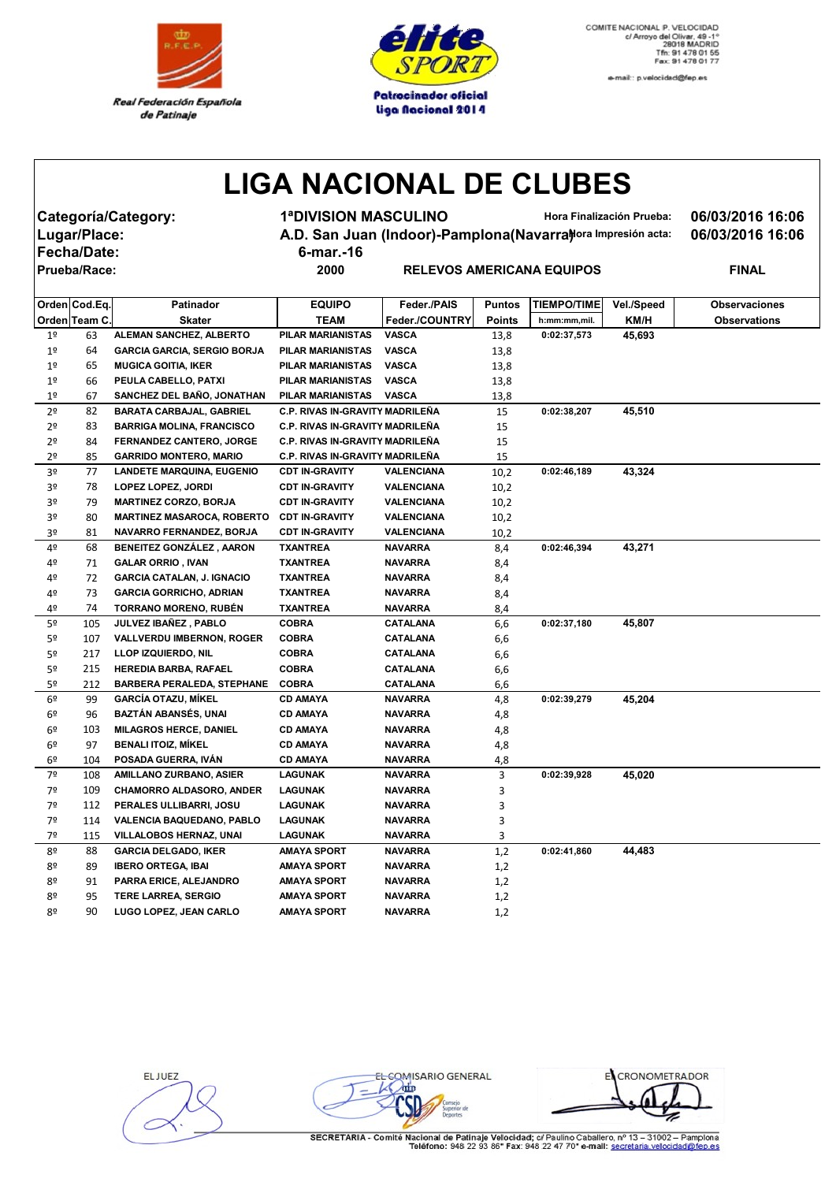



e-mail:: p.velocidad@fep.es

## **LIGA NACIONAL DE CLUBES**

**Fecha/Date: 6-mar.-16**

**Categoría/Category: 1ªDIVISION MASCULINO Hora Finalización Prueba: 06/03/2016 16:06** Lugar/Place: **A.D. San Juan (Indoor)-Pamplona(Navarra)***Mora Impresión acta:* **06/03/2016 16:06** 

 $R$  **PRIECANA EQUIPOS PINAL** 

|                | Orden Cod.Eq. | Patinador                          | <b>EQUIPO</b>                          | Feder./PAIS       | <b>Puntos</b> | <b>TIEMPO/TIME</b> | Vel./Speed | <b>Observaciones</b> |
|----------------|---------------|------------------------------------|----------------------------------------|-------------------|---------------|--------------------|------------|----------------------|
|                | Orden Team C. | <b>Skater</b>                      | <b>TEAM</b>                            | Feder./COUNTRY    | Points        | h:mm:mm,mil.       | KM/H       | <b>Observations</b>  |
| 1 <sup>°</sup> | 63            | ALEMAN SANCHEZ, ALBERTO            | <b>PILAR MARIANISTAS</b>               | <b>VASCA</b>      | 13,8          | 0:02:37,573        | 45,693     |                      |
| 1 <sup>°</sup> | 64            | <b>GARCIA GARCIA, SERGIO BORJA</b> | PILAR MARIANISTAS                      | <b>VASCA</b>      | 13,8          |                    |            |                      |
| 1 <sup>°</sup> | 65            | <b>MUGICA GOITIA, IKER</b>         | PILAR MARIANISTAS                      | <b>VASCA</b>      | 13,8          |                    |            |                      |
| 1 <sup>°</sup> | 66            | PEULA CABELLO, PATXI               | PILAR MARIANISTAS                      | <b>VASCA</b>      |               |                    |            |                      |
| 1 <sup>°</sup> | 67            | SANCHEZ DEL BAÑO, JONATHAN         | PILAR MARIANISTAS                      | <b>VASCA</b>      | 13,8<br>13,8  |                    |            |                      |
| 2º             | 82            | <b>BARATA CARBAJAL, GABRIEL</b>    | <b>C.P. RIVAS IN-GRAVITY MADRILENA</b> |                   | 15            | 0:02:38,207        | 45,510     |                      |
| 2º             | 83            | <b>BARRIGA MOLINA, FRANCISCO</b>   | <b>C.P. RIVAS IN-GRAVITY MADRILENA</b> |                   | 15            |                    |            |                      |
| 2º             | 84            | <b>FERNANDEZ CANTERO, JORGE</b>    | <b>C.P. RIVAS IN-GRAVITY MADRILENA</b> |                   | 15            |                    |            |                      |
| 2º             | 85            | <b>GARRIDO MONTERO, MARIO</b>      | <b>C.P. RIVAS IN-GRAVITY MADRILEÑA</b> |                   | 15            |                    |            |                      |
| 3º             | 77            | <b>LANDETE MARQUINA, EUGENIO</b>   | <b>CDT IN-GRAVITY</b>                  | <b>VALENCIANA</b> | 10,2          | 0:02:46,189        | 43,324     |                      |
| 3º             | 78            | <b>LOPEZ LOPEZ, JORDI</b>          | <b>CDT IN-GRAVITY</b>                  | VALENCIANA        | 10,2          |                    |            |                      |
| 3º             | 79            | <b>MARTINEZ CORZO, BORJA</b>       | <b>CDT IN-GRAVITY</b>                  | VALENCIANA        | 10,2          |                    |            |                      |
| 3º             | 80            | <b>MARTINEZ MASAROCA, ROBERTO</b>  | <b>CDT IN-GRAVITY</b>                  | VALENCIANA        | 10,2          |                    |            |                      |
| 3º             | 81            | NAVARRO FERNANDEZ, BORJA           | <b>CDT IN-GRAVITY</b>                  | <b>VALENCIANA</b> | 10,2          |                    |            |                      |
| 4º             | 68            | <b>BENEITEZ GONZÁLEZ, AARON</b>    | <b>TXANTREA</b>                        | <b>NAVARRA</b>    | 8,4           | 0:02:46,394        | 43,271     |                      |
| 4º             | 71            | <b>GALAR ORRIO, IVAN</b>           | <b>TXANTREA</b>                        | <b>NAVARRA</b>    | 8,4           |                    |            |                      |
| 4º             | 72            | <b>GARCIA CATALAN, J. IGNACIO</b>  | <b>TXANTREA</b>                        | <b>NAVARRA</b>    | 8,4           |                    |            |                      |
| 4º             | 73            | <b>GARCIA GORRICHO, ADRIAN</b>     | <b>TXANTREA</b>                        | <b>NAVARRA</b>    | 8,4           |                    |            |                      |
| 4º             | 74            | <b>TORRANO MORENO, RUBÉN</b>       | <b>TXANTREA</b>                        | <b>NAVARRA</b>    | 8,4           |                    |            |                      |
| 5º             | 105           | JULVEZ IBAÑEZ, PABLO               | <b>COBRA</b>                           | <b>CATALANA</b>   | 6,6           | 0:02:37,180        | 45,807     |                      |
| 5º             | 107           | <b>VALLVERDU IMBERNON, ROGER</b>   | <b>COBRA</b>                           | <b>CATALANA</b>   | 6,6           |                    |            |                      |
| 5º             | 217           | LLOP IZQUIERDO, NIL                | <b>COBRA</b>                           | <b>CATALANA</b>   | 6,6           |                    |            |                      |
| 5º             | 215           | <b>HEREDIA BARBA, RAFAEL</b>       | <b>COBRA</b>                           | <b>CATALANA</b>   | 6,6           |                    |            |                      |
| 5º             | 212           | <b>BARBERA PERALEDA, STEPHANE</b>  | <b>COBRA</b>                           | <b>CATALANA</b>   | 6,6           |                    |            |                      |
| 6º             | 99            | <b>GARCIA OTAZU, MIKEL</b>         | <b>CD AMAYA</b>                        | <b>NAVARRA</b>    | 4,8           | 0:02:39,279        | 45,204     |                      |
| 6º             | 96            | BAZTÁN ABANSÉS, UNAI               | <b>CD AMAYA</b>                        | <b>NAVARRA</b>    | 4,8           |                    |            |                      |
| 6º             | 103           | <b>MILAGROS HERCE, DANIEL</b>      | <b>CD AMAYA</b>                        | <b>NAVARRA</b>    | 4,8           |                    |            |                      |
| 6º             | 97            | <b>BENALI ITOIZ, MIKEL</b>         | <b>CD AMAYA</b>                        | <b>NAVARRA</b>    | 4,8           |                    |            |                      |
| 6º             | 104           | POSADA GUERRA, IVAN                | <b>CD AMAYA</b>                        | NAVARRA           | 4,8           |                    |            |                      |
| 7º             | 108           | AMILLANO ZURBANO, ASIER            | LAGUNAK                                | <b>NAVARRA</b>    | 3             | 0:02:39,928        | 45,020     |                      |
| 7º             | 109           | <b>CHAMORRO ALDASORO, ANDER</b>    | LAGUNAK                                | <b>NAVARRA</b>    | 3             |                    |            |                      |
| 7º             | 112           | PERALES ULLIBARRI, JOSU            | LAGUNAK                                | <b>NAVARRA</b>    | 3             |                    |            |                      |
| 7º             | 114           | VALENCIA BAQUEDANO, PABLO          | LAGUNAK                                | <b>NAVARRA</b>    | 3             |                    |            |                      |
| 7º             | 115           | VILLALOBOS HERNAZ, UNAI            | LAGUNAK                                | <b>NAVARRA</b>    | 3             |                    |            |                      |
| 8º             | 88            | <b>GARCIA DELGADO, IKER</b>        | <b>AMAYA SPORT</b>                     | <b>NAVARRA</b>    | 1,2           | 0:02:41,860        | 44,483     |                      |
| 8º             | 89            | <b>IBERO ORTEGA, IBAI</b>          | <b>AMAYA SPORT</b>                     | <b>NAVARRA</b>    | 1,2           |                    |            |                      |
| 8º             | 91            | PARRA ERICE, ALEJANDRO             | AMAYA SPORT                            | <b>NAVARRA</b>    | 1,2           |                    |            |                      |
| 8º             | 95            | <b>TERE LARREA, SERGIO</b>         | AMAYA SPORT                            | <b>NAVARRA</b>    | 1,2           |                    |            |                      |
| 8º             | 90            | LUGO LOPEZ, JEAN CARLO             | <b>AMAYA SPORT</b>                     | <b>NAVARRA</b>    | 1,2           |                    |            |                      |

EL JUEZ

EL COMISARIO GENERAL  $L$  orin ió

ECRONOMETRADOR z

SECRETARIA - Comité Nacional de Patinaje Velocidad; c/ Paulino Caballero, nº 13 - 31002 - Pamplona<br>Teléfono: 948 22 93 86\* Fax: 948 22 47 70\* e-mail: secretaria.velocidad@fen.es